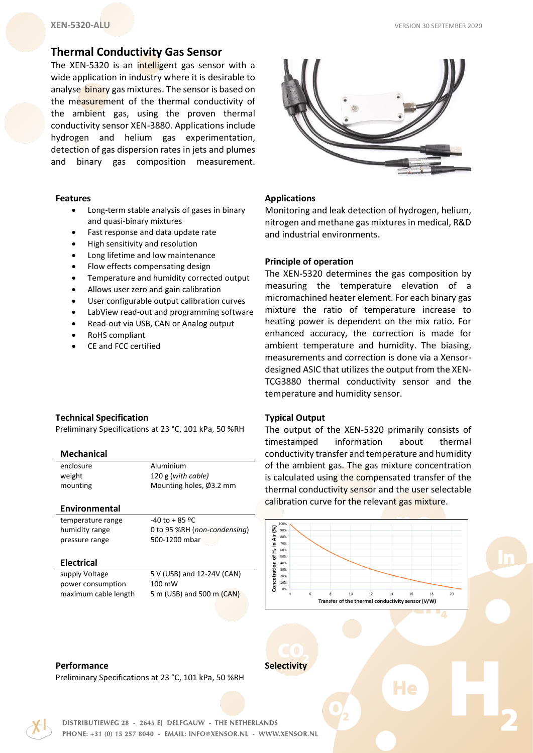# **Thermal Conductivity Gas Sensor**

The XEN-5320 is an intelligent gas sensor with a wide application in industry where it is desirable to analyse binary gas mixtures. The sensor is based on the measurement of the thermal conductivity of the ambient gas, using the proven thermal conductivity sensor XEN-3880. Applications include hydrogen and helium gas experimentation, detection of gas dispersion rates in jets and plumes and binary gas composition measurement.

#### **Features**

- Long-term stable analysis of gases in binary and quasi-binary mixtures
- Fast response and data update rate
- High sensitivity and resolution
- Long lifetime and low maintenance
- Flow effects compensating design
- Temperature and humidity corrected output
- Allows user zero and gain calibration
- User configurable output calibration curves
- LabView read-out and programming software
- Read-out via USB, CAN or Analog output
- RoHS compliant
- CE and FCC certified

# **Technical Specification**

Preliminary Specifications at 23 °C, 101 kPa, 50 %RH

## **Mechanical**

enclosure **Aluminium** weight 120 g (*with cable)* mounting Mounting holes, Ø3.2 mm

## **Environmental**

temperature range  $-40$  to +85 °C humidity range 0 to 95 %RH (*non-condensing*) pressure range 500-1200 mbar

## **Electrical**

power consumption 100 mW

supply Voltage 5 V (USB) and 12-24V (CAN) maximum cable length 5 m (USB) and 500 m (CAN)



# **Applications**

Monitoring and leak detection of hydrogen, helium, nitrogen and methane gas mixtures in medical, R&D and industrial environments.

# **Principle of operation**

The XEN-5320 determines the gas composition by measuring the temperature elevation of a micromachined heater element. For each binary gas mixture the ratio of temperature increase to heating power is dependent on the mix ratio. For enhanced accuracy, the correction is made for ambient temperature and humidity. The biasing, measurements and correction is done via a Xensordesigned ASIC that utilizes the output from the XEN-TCG3880 thermal conductivity sensor and the temperature and humidity sensor.

# **Typical Output**

The output of the XEN-5320 primarily consists of timestamped information about thermal conductivity transfer and temperature and humidity of the ambient gas. The gas mixture concentration is calculated using the compensated transfer of the thermal conductivity sensor and the user selectable calibration curve for the relevant gas mixture.



He

## **Performance**

Preliminary Specifications at 23 °C, 101 kPa, 50 %RH



DISTRIBUTIEWEG 28 - 2645 EJ DELFGAUW - THE NETHERLANDS PHONE: +31 (0) 15 257 8040 - EMAIL: INFO@XENSOR.NL - WWW.XENSOR.NL